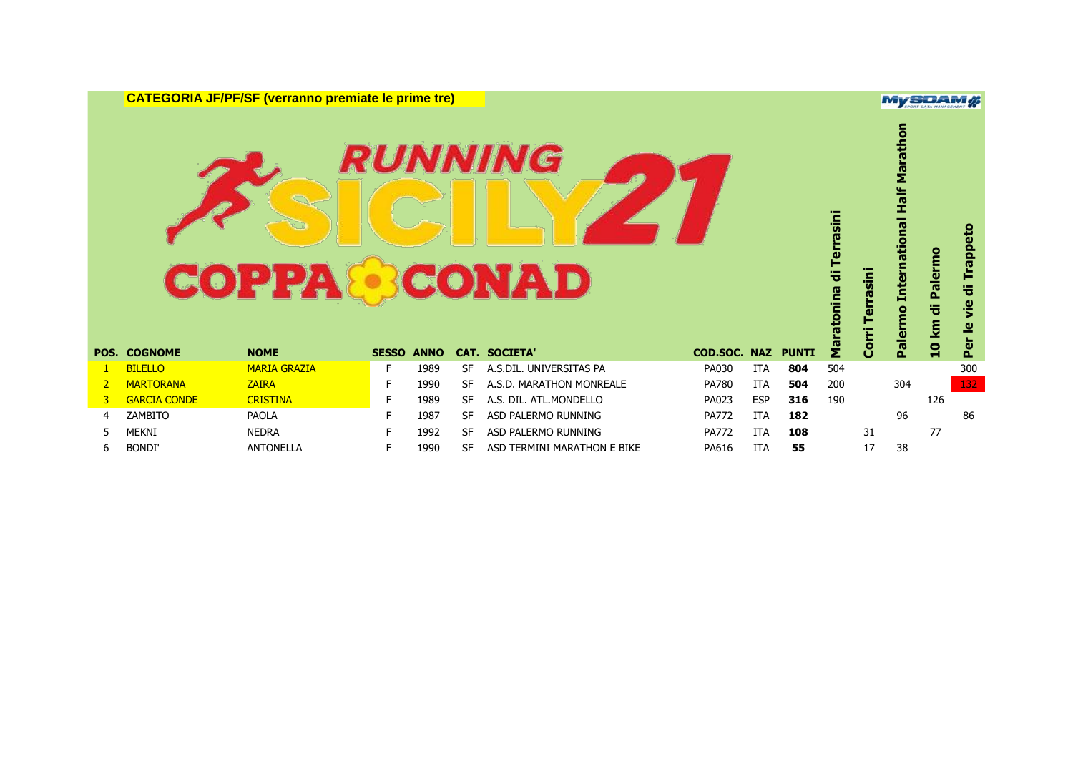**CATEGORIA JF/PF/SF (verranno premiate le prime tre)**

# **RUNNING COPPA CONAD**

|                |                     | <b>COPPA</b>        |              |             |           | <i><b>RUNNING</b></i><br>CONAD |              |            |              | Terrasini<br>ᄬ |        | <b>Marat</b><br>tional Half<br>Ĕ | Palermo           | Trappeto<br>ㅎ |
|----------------|---------------------|---------------------|--------------|-------------|-----------|--------------------------------|--------------|------------|--------------|----------------|--------|----------------------------------|-------------------|---------------|
|                |                     |                     |              |             |           |                                |              |            |              |                |        |                                  | ᄬ<br>$\mathbf{g}$ | vie           |
|                | <b>POS. COGNOME</b> | <b>NOME</b>         | <b>SESSO</b> | <b>ANNO</b> |           | <b>CAT. SOCIETA'</b>           | COD.SOC. NAZ |            | <b>PUNTI</b> | Maratonina     | 등<br>O | Paler                            | $\overline{10}$   | Per le        |
|                | <b>BILELLO</b>      | <b>MARIA GRAZIA</b> | F.           | 1989        | <b>SF</b> | A.S.DIL. UNIVERSITAS PA        | PA030        | <b>ITA</b> | 804          | 504            |        |                                  |                   | 300           |
| $\overline{2}$ | <b>MARTORANA</b>    | <b>ZAIRA</b>        | F            | 1990        | <b>SF</b> | A.S.D. MARATHON MONREALE       | PA780        | <b>ITA</b> | 504          | 200            |        | 304                              |                   | 132           |
| 3              | <b>GARCIA CONDE</b> | <b>CRISTINA</b>     | F            | 1989        | <b>SF</b> | A.S. DIL. ATL.MONDELLO         | PA023        | <b>ESP</b> | 316          | 190            |        |                                  | 126               |               |
| 4              | ZAMBITO             | <b>PAOLA</b>        | F            | 1987        | <b>SF</b> | ASD PALERMO RUNNING            | <b>PA772</b> | <b>ITA</b> | 182          |                |        | 96                               |                   | 86            |
| 5.             | <b>MEKNI</b>        | <b>NEDRA</b>        | F            | 1992        | <b>SF</b> | ASD PALERMO RUNNING            | <b>PA772</b> | <b>ITA</b> | 108          |                | 31     |                                  | 77                |               |

#### **MySDAM#**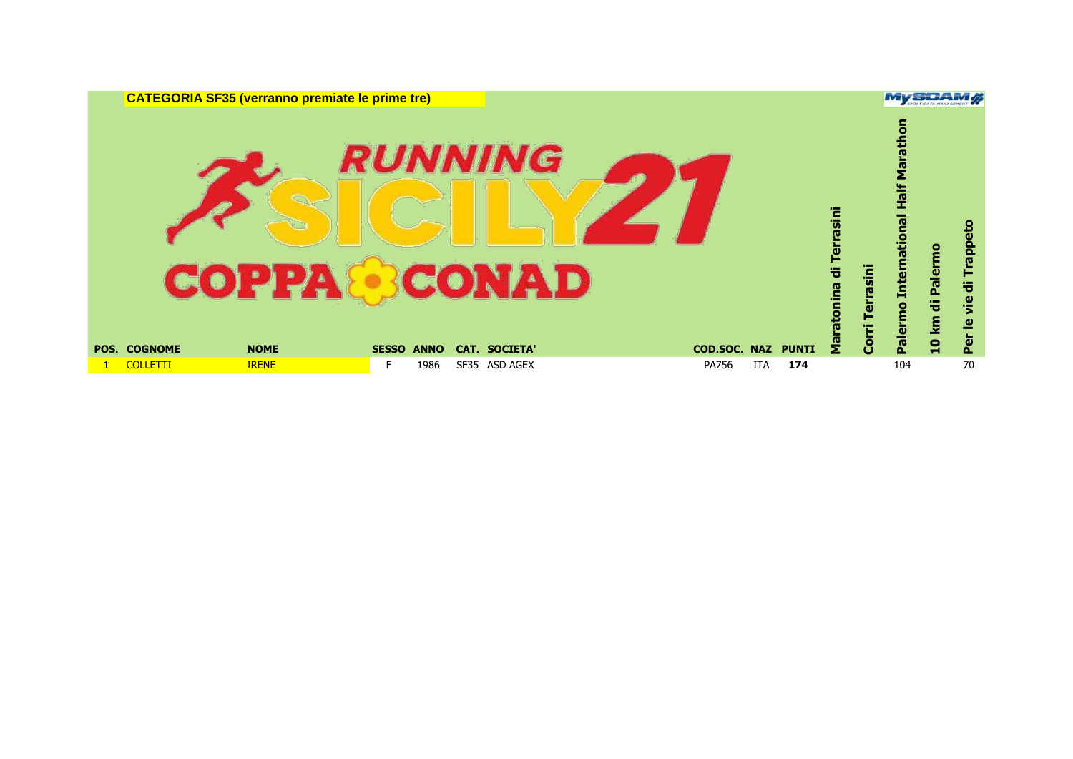| <b>CATEGORIA SF35 (verranno premiate le prime tre)</b>   |                             |                                               |                     |                   |                                                            |                                                             | MySDAM                          |                                      |
|----------------------------------------------------------|-----------------------------|-----------------------------------------------|---------------------|-------------------|------------------------------------------------------------|-------------------------------------------------------------|---------------------------------|--------------------------------------|
| <b>COPPA®CONAD</b><br><b>POS. COGNOME</b><br><b>NOME</b> | <b>SESSO</b><br><b>ANNO</b> | <i><b>RUNNING</b></i><br><b>CAT. SOCIETA'</b> | <b>COD.SOC. NAZ</b> | <b>PUNTI</b>      | rasini<br>Ter<br>Terrasini<br>등<br><b>e</b><br>Corri<br>ទី | nom<br>B<br>ēΣ<br>Half<br>tional<br><b>Inter</b><br>Palermo | km di Palermo<br>$\overline{a}$ | 1 qeri<br>튱<br><b>Je</b><br>≗<br>Per |
| <b>COLLETTI</b><br><b>IRENE</b>                          | F<br>1986                   | SF35 ASD AGEX                                 | PA756               | <b>ITA</b><br>174 |                                                            | 104                                                         |                                 | 70                                   |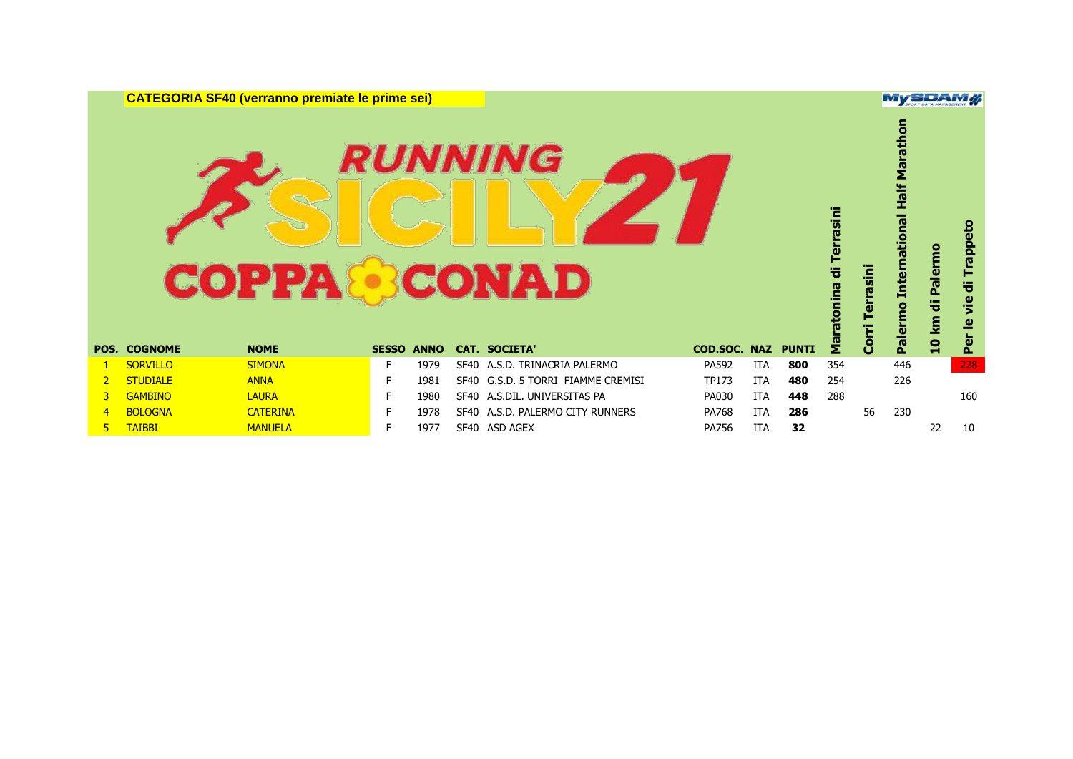**CATEGORIA SF40 (verranno premiate le prime sei)**

# **RUNNING COPPA CONAD**

|             |                     | <b>COPPA</b>    |    |                   |      | <b>CONAD</b>                     |              |            |              | Terrasini<br>등<br>ratonina |              | ational<br>Ĕ<br>e<br>E | Palermo<br>号<br>ξ | Trappeto<br>ᇂ<br>vie<br>$\overline{\mathbf{e}}$ |
|-------------|---------------------|-----------------|----|-------------------|------|----------------------------------|--------------|------------|--------------|----------------------------|--------------|------------------------|-------------------|-------------------------------------------------|
|             | <b>POS. COGNOME</b> | <b>NOME</b>     |    | <b>SESSO ANNO</b> |      | <b>CAT. SOCIETA'</b>             | COD.SOC. NAZ |            | <b>PUNTI</b> | $\bar{\mathbf{z}}$         | <b>Corri</b> | <u>paler</u>           | $\overline{a}$    | Per                                             |
|             | <b>SORVILLO</b>     | <b>SIMONA</b>   | F. | 1979              |      | SF40 A.S.D. TRINACRIA PALERMO    | PA592        | <b>ITA</b> | 800          | 354                        |              | 446                    |                   | 228                                             |
| $2^{\circ}$ | <b>STUDIALE</b>     | <b>ANNA</b>     | F. | 1981              | SF40 | G.S.D. 5 TORRI FIAMME CREMISI    | <b>TP173</b> | <b>ITA</b> | 480          | 254                        |              | 226                    |                   |                                                 |
| 3.          | <b>GAMBINO</b>      | <b>LAURA</b>    |    | 1980              |      | SF40 A.S.DIL. UNIVERSITAS PA     | PA030        | <b>ITA</b> | 448          | 288                        |              |                        |                   | 160                                             |
|             | <b>BOLOGNA</b>      | <b>CATERINA</b> |    | 1978              |      | SF40 A.S.D. PALERMO CITY RUNNERS | <b>PA768</b> | <b>ITA</b> | 286          |                            | 56           | 230                    |                   |                                                 |

**MySDAM#**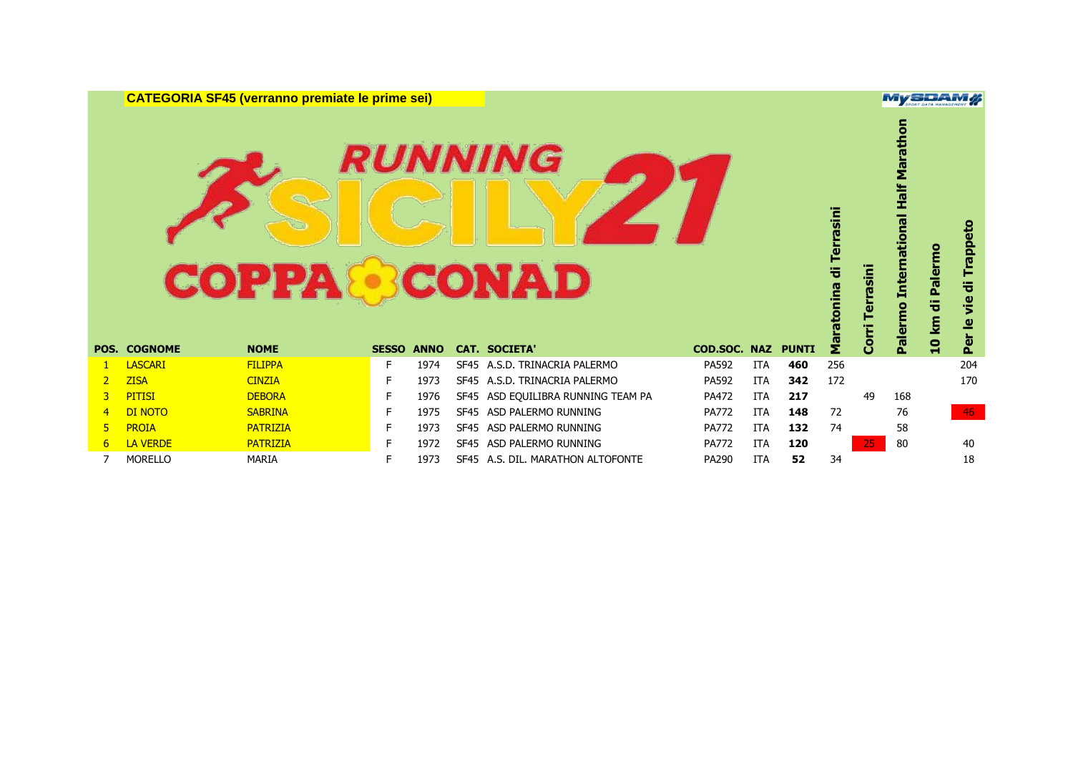**CATEGORIA SF45 (verranno premiate le prime sei)**

## **RUNNING COPPA CONAD**

|                |                     | <b>COPPA</b>    |              |             |             | <i><b>RUNNING</b></i><br><b>CONAD</b> |                     |            |              | di Terrasini<br>Maratonina | rrasin<br>Corri | Marathor<br><b>Half</b><br><b>International</b><br>Palermo | <b>Paler</b><br>÷<br><b>10 km</b> | Trappeto<br>등<br>je<br>$\overline{\bullet}$ |
|----------------|---------------------|-----------------|--------------|-------------|-------------|---------------------------------------|---------------------|------------|--------------|----------------------------|-----------------|------------------------------------------------------------|-----------------------------------|---------------------------------------------|
|                | <b>POS. COGNOME</b> | <b>NOME</b>     | <b>SESSO</b> | <b>ANNO</b> |             | <b>CAT. SOCIETA'</b>                  | <b>COD.SOC. NAZ</b> |            | <b>PUNTI</b> |                            |                 |                                                            |                                   | Per                                         |
|                | <b>LASCARI</b>      | <b>FILIPPA</b>  | E            | 1974        | <b>SF45</b> | A.S.D. TRINACRIA PALERMO              | PA592               | <b>ITA</b> | 460          | 256                        |                 |                                                            |                                   | 204                                         |
| 2 <sup>1</sup> | <b>ZISA</b>         | <b>CINZIA</b>   | F            | 1973        | <b>SF45</b> | A.S.D. TRINACRIA PALERMO              | PA592               | <b>ITA</b> | 342          | 172                        |                 |                                                            |                                   | 170                                         |
| 3              | <b>PITISI</b>       | <b>DEBORA</b>   | F.           | 1976        | SF45        | ASD EQUILIBRA RUNNING TEAM PA         | PA472               | <b>ITA</b> | 217          |                            | 49              | 168                                                        |                                   |                                             |
| $\overline{4}$ | DI NOTO             | <b>SABRINA</b>  |              | 1975        | <b>SF45</b> | ASD PALERMO RUNNING                   | <b>PA772</b>        | ITA        | 148          | 72                         |                 | 76                                                         |                                   | 46                                          |
| 5.             | <b>PROIA</b>        | <b>PATRIZIA</b> | Е            | 1973        | <b>SF45</b> | ASD PALERMO RUNNING                   | <b>PA772</b>        | <b>ITA</b> | 132          | 74                         |                 | 58                                                         |                                   |                                             |
| 6              | LA VERDE            | <b>PATRIZIA</b> |              | 1972        | <b>SF45</b> | ASD PALERMO RUNNING                   | <b>PA772</b>        | <b>ITA</b> | 120          |                            | 25              | 80                                                         |                                   | 40                                          |
|                | <b>MORELLO</b>      | MARIA           |              | 1973        |             | SF45 A.S. DIL. MARATHON ALTOFONTE     | PA290               | <b>ITA</b> | 52           | 34                         |                 |                                                            |                                   | 18                                          |

**MySDAM#**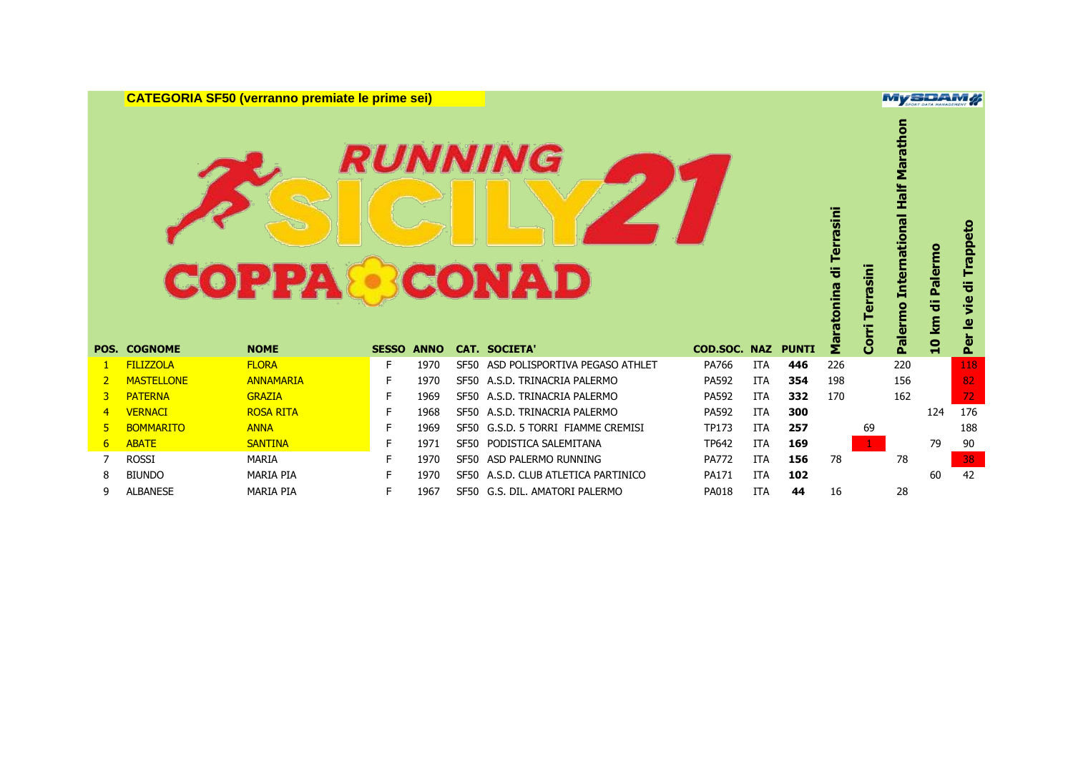**CATEGORIA SF50 (verranno premiate le prime sei)**

## **RUNNING COPPA CONAD**

|                |                     | <b>COPP</b>      |                   |      |             | <i><b>RUNNING</b></i><br>CONAD     |              |            |              | Terrasini<br>ㅎ<br>ratonina | <u>iai</u>   | <b>International Half Marathon</b><br>Palermo | Palermo<br>ᇂ<br>$\mathbf{E}$ | Trappeto<br>vie di<br>$\overline{\mathbf{e}}$ |
|----------------|---------------------|------------------|-------------------|------|-------------|------------------------------------|--------------|------------|--------------|----------------------------|--------------|-----------------------------------------------|------------------------------|-----------------------------------------------|
|                | <b>POS. COGNOME</b> | <b>NOME</b>      | <b>SESSO ANNO</b> |      |             | <b>CAT. SOCIETA'</b>               | COD.SOC. NAZ |            | <b>PUNTI</b> | 운                          | ළි           |                                               | $\mathbf{a}$                 | Per                                           |
| 1              | <b>FILIZZOLA</b>    | <b>FLORA</b>     | F.                | 1970 | SF50        | ASD POLISPORTIVA PEGASO ATHLET     | PA766        | ITA        | 446          | 226                        |              | 220                                           |                              | 118                                           |
| $\overline{2}$ | <b>MASTELLONE</b>   | <b>ANNAMARIA</b> |                   | 1970 | <b>SF50</b> | A.S.D. TRINACRIA PALERMO           | PA592        | <b>ITA</b> | 354          | 198                        |              | 156                                           |                              | 82                                            |
| 3              | <b>PATERNA</b>      | <b>GRAZIA</b>    |                   | 1969 |             | SF50 A.S.D. TRINACRIA PALERMO      | PA592        | <b>ITA</b> | 332          | 170                        |              | 162                                           |                              | 72                                            |
| 4              | <b>VERNACI</b>      | <b>ROSA RITA</b> |                   | 1968 |             | SF50 A.S.D. TRINACRIA PALERMO      | PA592        | <b>ITA</b> | 300          |                            |              |                                               | 124                          | 176                                           |
| 5              | <b>BOMMARITO</b>    | <b>ANNA</b>      |                   | 1969 |             | SF50 G.S.D. 5 TORRI FIAMME CREMISI | <b>TP173</b> | <b>ITA</b> | 257          |                            | 69           |                                               |                              | 188                                           |
| 6              | <b>ABATE</b>        | <b>SANTINA</b>   |                   | 1971 |             | SF50 PODISTICA SALEMITANA          | <b>TP642</b> | <b>ITA</b> | 169          |                            | $\mathbf{1}$ |                                               | 79                           | 90                                            |
|                | <b>ROSSI</b>        | <b>MARIA</b>     |                   | 1970 | SF50        | ASD PALERMO RUNNING                | <b>PA772</b> | <b>ITA</b> | 156          | 78                         |              | 78                                            |                              | 38                                            |
| 8              | <b>BIUNDO</b>       | <b>MARIA PIA</b> | F.                | 1970 | <b>SF50</b> | A.S.D. CLUB ATLETICA PARTINICO     | PA171        | ITA        | 102          |                            |              |                                               | 60                           | 42                                            |
| 9              | <b>ALBANESE</b>     | <b>MARIA PIA</b> | F                 | 1967 | SF50        | G.S. DIL. AMATORI PALERMO          | <b>PA018</b> | <b>ITA</b> | 44           | 16                         |              | 28                                            |                              |                                               |

**MySDAM#**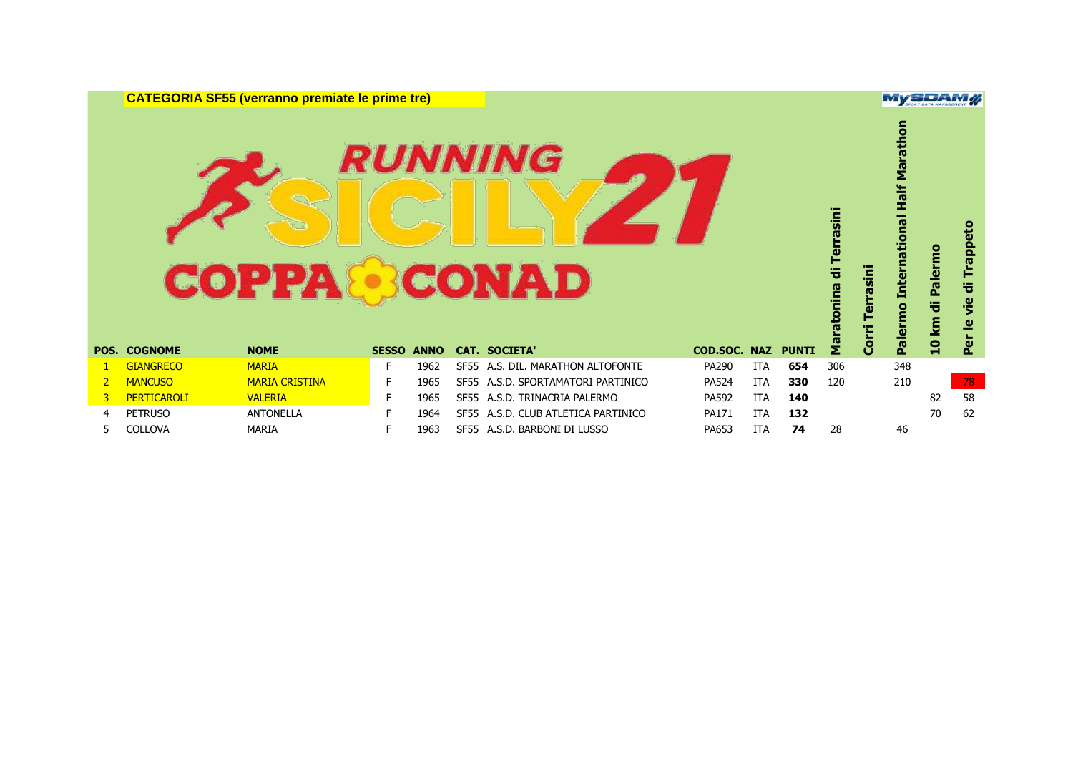**CATEGORIA SF55 (verranno premiate le prime tre)**

# **RUNNING COPPA CONAD**

|                | <b>POS. COGNOME</b> | <b>COPPA</b><br><b>NOME</b> | <b>SESSO ANNO</b> |      |             | <i><b>RUNNING</b></i><br><b>CONAD</b> | <b>COD.SOC. NAZ</b> |            | <b>PUNTI</b> | rasini<br>ē<br>ទឹ | lise1<br>Corri | Marai<br>Half<br>ational<br><b>Inter</b><br>Palermo | Palermo<br>등<br><b>10 km</b> | o<br>Trapp<br>ᇂ<br><u>je</u><br>₫<br>$\overline{a}$ |
|----------------|---------------------|-----------------------------|-------------------|------|-------------|---------------------------------------|---------------------|------------|--------------|-------------------|----------------|-----------------------------------------------------|------------------------------|-----------------------------------------------------|
|                |                     |                             |                   |      |             | <b>CAT. SOCIETA'</b>                  |                     |            |              |                   |                |                                                     |                              |                                                     |
|                | <b>GIANGRECO</b>    | <b>MARIA</b>                | F.                | 1962 |             | SF55 A.S. DIL. MARATHON ALTOFONTE     | PA290               | <b>ITA</b> | 654          | 306               |                | 348                                                 |                              |                                                     |
| $\overline{2}$ | <b>MANCUSO</b>      | <b>MARIA CRISTINA</b>       | F.                | 1965 |             | SF55 A.S.D. SPORTAMATORI PARTINICO    | <b>PA524</b>        | <b>ITA</b> | 330          | 120               |                | 210                                                 |                              | 78                                                  |
| 3              | <b>PERTICAROLI</b>  | <b>VALERIA</b>              | F.                | 1965 |             | SF55 A.S.D. TRINACRIA PALERMO         | PA592               | <b>ITA</b> | 140          |                   |                |                                                     |                              |                                                     |
| 4              |                     |                             |                   |      |             |                                       |                     |            |              |                   |                |                                                     | 82                           | 58                                                  |
|                | <b>PETRUSO</b>      | <b>ANTONELLA</b>            | F.                | 1964 | <b>SF55</b> | A.S.D. CLUB ATLETICA PARTINICO        | PA171               | <b>ITA</b> | 132          |                   |                |                                                     | 70                           | 62                                                  |

**MySDAM#**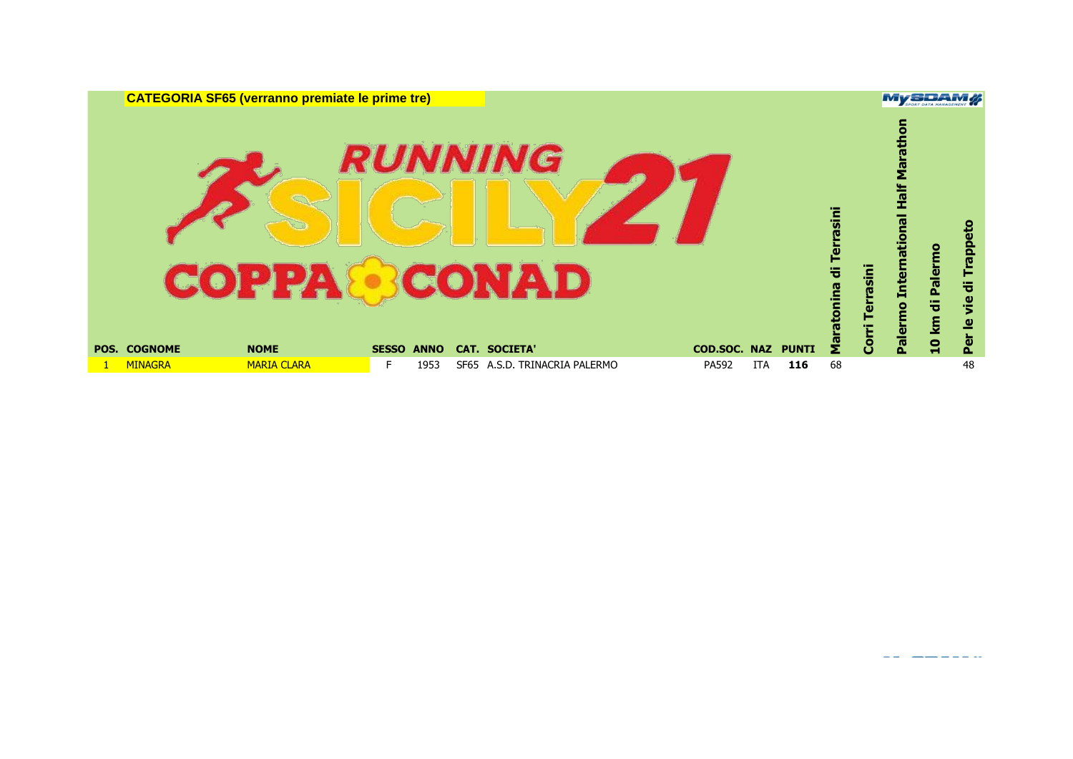| <b>CATEGORIA SF65 (verranno premiate le prime tre)</b>   |                                                      |      |                          |                     |            |              |    |                | <b>MySDAM#</b>                                                       |                  |                                             |
|----------------------------------------------------------|------------------------------------------------------|------|--------------------------|---------------------|------------|--------------|----|----------------|----------------------------------------------------------------------|------------------|---------------------------------------------|
| <b>COPPA®CONAD</b><br><b>POS. COGNOME</b><br><b>NOME</b> | <i><b>RUNNING</b></i><br><b>SESSO</b><br><b>ANNO</b> |      | <b>CAT. SOCIETA'</b>     | <b>COD.SOC. NAZ</b> |            | <b>PUNTI</b> | 울  | rasin<br>Corri | $\bullet$<br>Half<br><b>Deno</b><br>D<br>Inter<br>rmo<br><u>pale</u> | 10 km di Palermo | ldeu <u>l</u><br>등<br><u>je</u><br>₫<br>Per |
| <b>MARIA CLARA</b><br><b>MINAGRA</b>                     | 1953<br>F.                                           | SF65 | A.S.D. TRINACRIA PALERMO | PA592               | <b>ITA</b> | 116          | 68 |                |                                                                      |                  | 48                                          |

<u> Andrew Allen and Allen and Allen and Allen and Allen and Allen and Allen and Allen and Allen and Allen and Allen and Allen and Allen and Allen and Allen and Allen and Allen and Allen and Allen and Allen and Allen and All</u>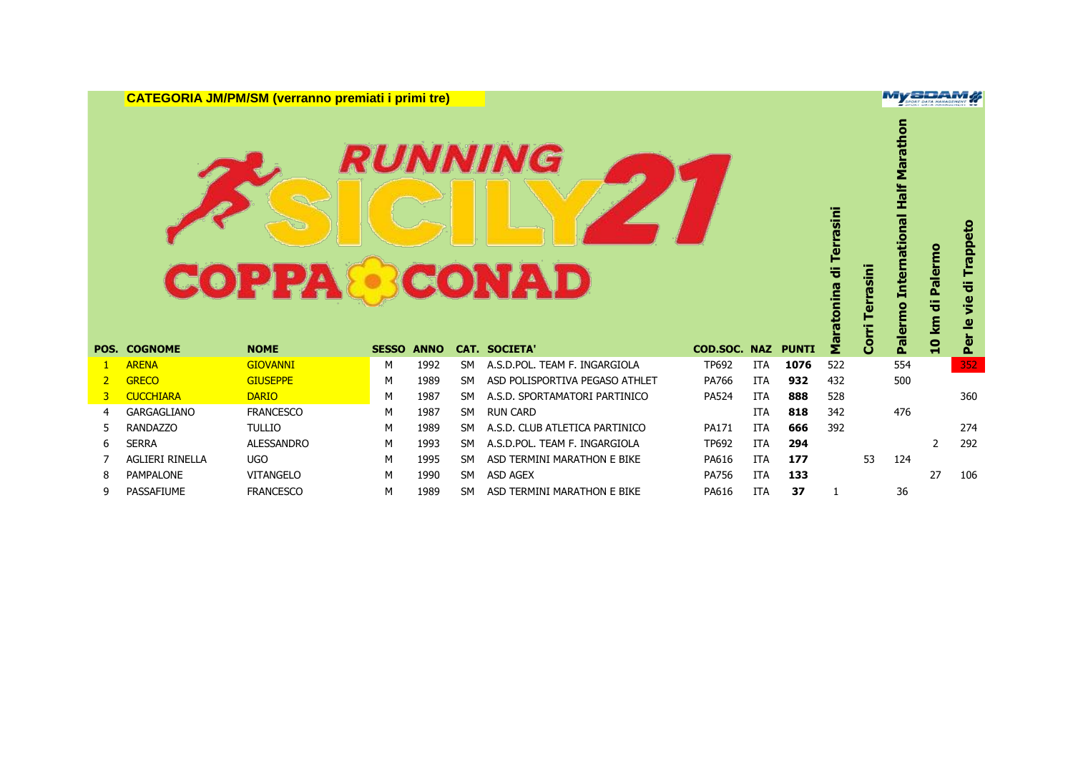**CATEGORIA JM/PM/SM (verranno premiati i primi tre)**

## **RUNNING COPPA CONAD**

|                |                        | <b>COPPA</b>      |              |             |           | <i><b>RUNNING</b></i><br>CONAD |                     |            |              | Terrasini<br>ᢣ<br>ratonina | rrasin<br>Corri Te | Marathon<br><b>mational Half</b><br><b>Inter</b><br>Palermo | Palermo<br>km di | rappeto<br>ᇂ<br>yie<br>$\overline{\mathbf{e}}$<br>Per |
|----------------|------------------------|-------------------|--------------|-------------|-----------|--------------------------------|---------------------|------------|--------------|----------------------------|--------------------|-------------------------------------------------------------|------------------|-------------------------------------------------------|
|                | <b>POS. COGNOME</b>    | <b>NOME</b>       | <b>SESSO</b> | <b>ANNO</b> |           | <b>CAT. SOCIETA</b>            | <b>COD.SOC. NAZ</b> |            | <b>PUNTI</b> | 륍                          |                    |                                                             | $\overline{a}$   |                                                       |
|                | <b>ARENA</b>           | <b>GIOVANNI</b>   | м            | 1992        | <b>SM</b> | A.S.D.POL. TEAM F. INGARGIOLA  | TP692               | <b>ITA</b> | 1076         | 522                        |                    | 554                                                         |                  | 352                                                   |
| $\overline{2}$ | <b>GRECO</b>           | <b>GIUSEPPE</b>   | M            | 1989        | SM.       | ASD POLISPORTIVA PEGASO ATHLET | PA766               | <b>ITA</b> | 932          | 432                        |                    | 500                                                         |                  |                                                       |
| 3              | <b>CUCCHIARA</b>       | <b>DARIO</b>      | M            | 1987        | SM.       | A.S.D. SPORTAMATORI PARTINICO  | <b>PA524</b>        | ITA        | 888          | 528                        |                    |                                                             |                  | 360                                                   |
| 4              | <b>GARGAGLIANO</b>     | <b>FRANCESCO</b>  | M            | 1987        | <b>SM</b> | <b>RUN CARD</b>                |                     | <b>ITA</b> | 818          | 342                        |                    | 476                                                         |                  |                                                       |
| 5.             | <b>RANDAZZO</b>        | <b>TULLIO</b>     | M            | 1989        | <b>SM</b> | A.S.D. CLUB ATLETICA PARTINICO | PA171               | <b>ITA</b> | 666          | 392                        |                    |                                                             |                  | 274                                                   |
| 6              | <b>SERRA</b>           | <b>ALESSANDRO</b> | M            | 1993        | <b>SM</b> | A.S.D.POL. TEAM F. INGARGIOLA  | TP692               | <b>ITA</b> | 294          |                            |                    |                                                             | $\overline{2}$   | 292                                                   |
|                | <b>AGLIERI RINELLA</b> | <b>UGO</b>        | M            | 1995        | <b>SM</b> | ASD TERMINI MARATHON E BIKE    | PA616               | <b>ITA</b> | 177          |                            | 53                 | 124                                                         |                  |                                                       |
| 8              | <b>PAMPALONE</b>       | <b>VITANGELO</b>  | M            | 1990        | <b>SM</b> | <b>ASD AGEX</b>                | <b>PA756</b>        | <b>ITA</b> | 133          |                            |                    |                                                             | 27               | 106                                                   |
| 9              | PASSAFIUME             | <b>FRANCESCO</b>  | М            | 1989        | <b>SM</b> | ASD TERMINI MARATHON E BIKE    | PA616               | <b>ITA</b> | 37           |                            |                    | 36                                                          |                  |                                                       |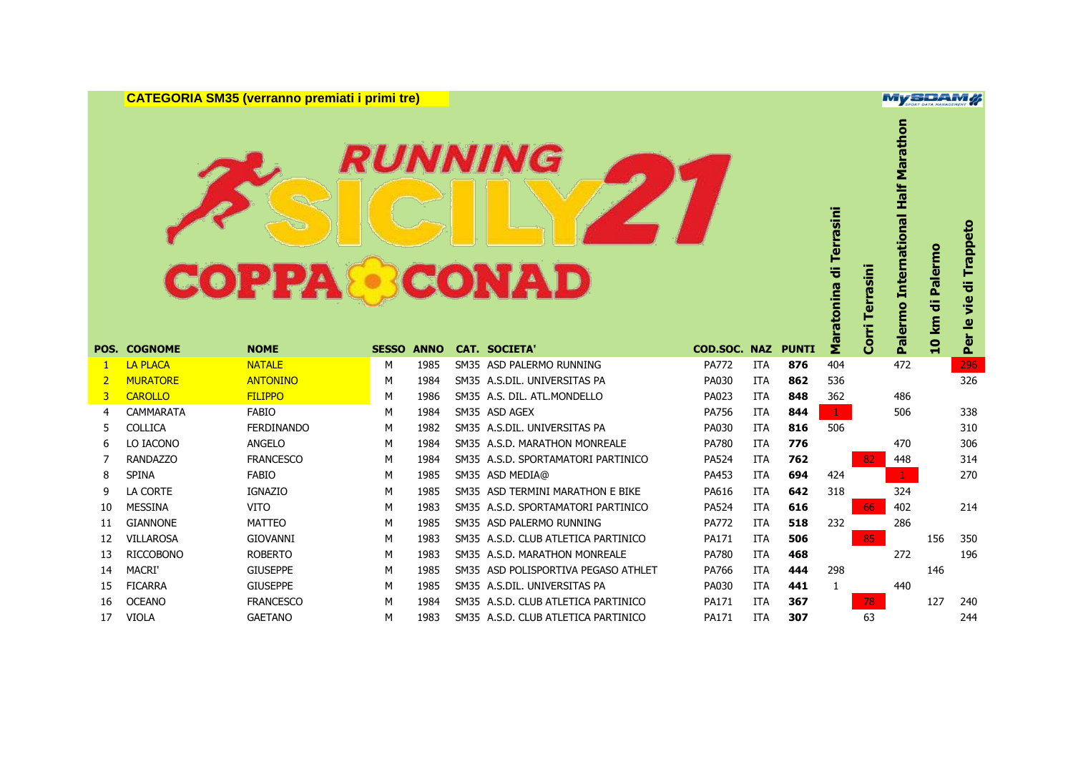**CATEGORIA SM35 (verranno premiati i primi tre)**

## **RUNNING COPPA CONAD**

| POS.           | <b>COGNOME</b>   | <b>COPPA &amp; CONAD</b><br><b>NOME</b> | <b>SESSO ANNO</b> |      | <i><b>RUNNING</b></i><br><b>CAT. SOCIETA'</b> | COD.SOC. NAZ |            | <b>PUNTI</b> | Maratonina di Terrasini | errasini<br><b>Corri</b> | Palermo International Half Marathon | 10 km di Palermo | vie di Trappeto<br>Per le |
|----------------|------------------|-----------------------------------------|-------------------|------|-----------------------------------------------|--------------|------------|--------------|-------------------------|--------------------------|-------------------------------------|------------------|---------------------------|
| -1             | <b>LA PLACA</b>  | <b>NATALE</b>                           | м                 | 1985 | SM35 ASD PALERMO RUNNING                      | <b>PA772</b> | <b>ITA</b> | 876          | 404                     |                          | 472                                 |                  | 296                       |
| $\overline{2}$ | <b>MURATORE</b>  | <b>ANTONINO</b>                         | м                 | 1984 | SM35 A.S.DIL. UNIVERSITAS PA                  | PA030        | <b>ITA</b> | 862          | 536                     |                          |                                     |                  | 326                       |
| 3              | <b>CAROLLO</b>   | <b>FILIPPO</b>                          | м                 | 1986 | SM35 A.S. DIL. ATL.MONDELLO                   | PA023        | <b>ITA</b> | 848          | 362                     |                          | 486                                 |                  |                           |
| 4              | CAMMARATA        | <b>FABIO</b>                            | м                 | 1984 | SM35 ASD AGEX                                 | PA756        | <b>ITA</b> | 844          | $\mathbf{1}$            |                          | 506                                 |                  | 338                       |
| 5              | <b>COLLICA</b>   | <b>FERDINANDO</b>                       | м                 | 1982 | SM35 A.S.DIL. UNIVERSITAS PA                  | PA030        | <b>ITA</b> | 816          | 506                     |                          |                                     |                  | 310                       |
| 6              | LO IACONO        | ANGELO                                  | M                 | 1984 | SM35 A.S.D. MARATHON MONREALE                 | <b>PA780</b> | <b>ITA</b> | 776          |                         |                          | 470                                 |                  | 306                       |
| 7              | <b>RANDAZZO</b>  | <b>FRANCESCO</b>                        | м                 | 1984 | SM35 A.S.D. SPORTAMATORI PARTINICO            | <b>PA524</b> | <b>ITA</b> | 762          |                         | 82                       | 448                                 |                  | 314                       |
| 8              | <b>SPINA</b>     | <b>FABIO</b>                            | M                 | 1985 | SM35 ASD MEDIA@                               | PA453        | <b>ITA</b> | 694          | 424                     |                          | $\mathbf{1}$                        |                  | 270                       |
| 9              | LA CORTE         | <b>IGNAZIO</b>                          | M                 | 1985 | SM35 ASD TERMINI MARATHON E BIKE              | PA616        | <b>ITA</b> | 642          | 318                     |                          | 324                                 |                  |                           |
| 10             | <b>MESSINA</b>   | <b>VITO</b>                             | M                 | 1983 | SM35 A.S.D. SPORTAMATORI PARTINICO            | <b>PA524</b> | <b>ITA</b> | 616          |                         | 66                       | 402                                 |                  | 214                       |
| 11             | <b>GIANNONE</b>  | <b>MATTEO</b>                           | M                 | 1985 | SM35 ASD PALERMO RUNNING                      | <b>PA772</b> | <b>ITA</b> | 518          | 232                     |                          | 286                                 |                  |                           |
| 12             | <b>VILLAROSA</b> | <b>GIOVANNI</b>                         | M                 | 1983 | SM35 A.S.D. CLUB ATLETICA PARTINICO           | <b>PA171</b> | <b>ITA</b> | 506          |                         | 85                       |                                     | 156              | 350                       |
| 13             | <b>RICCOBONO</b> | <b>ROBERTO</b>                          | M                 | 1983 | SM35 A.S.D. MARATHON MONREALE                 | <b>PA780</b> | <b>ITA</b> | 468          |                         |                          | 272                                 |                  | 196                       |
| 14             | <b>MACRI</b>     | <b>GIUSEPPE</b>                         | M                 | 1985 | SM35 ASD POLISPORTIVA PEGASO ATHLET           | PA766        | <b>ITA</b> | 444          | 298                     |                          |                                     | 146              |                           |
| 15             | <b>FICARRA</b>   | <b>GIUSEPPE</b>                         | м                 | 1985 | SM35 A.S.DIL. UNIVERSITAS PA                  | PA030        | <b>ITA</b> | 441          | 1                       |                          | 440                                 |                  |                           |
| 16             | <b>OCEANO</b>    | <b>FRANCESCO</b>                        | м                 | 1984 | SM35 A.S.D. CLUB ATLETICA PARTINICO           | PA171        | <b>ITA</b> | 367          |                         | 78                       |                                     | 127              | 240                       |
| 17             | <b>VIOLA</b>     | <b>GAETANO</b>                          | M                 | 1983 | SM35 A.S.D. CLUB ATLETICA PARTINICO           | PA171        | <b>ITA</b> | 307          |                         | 63                       |                                     |                  | 244                       |

**MySDAM#**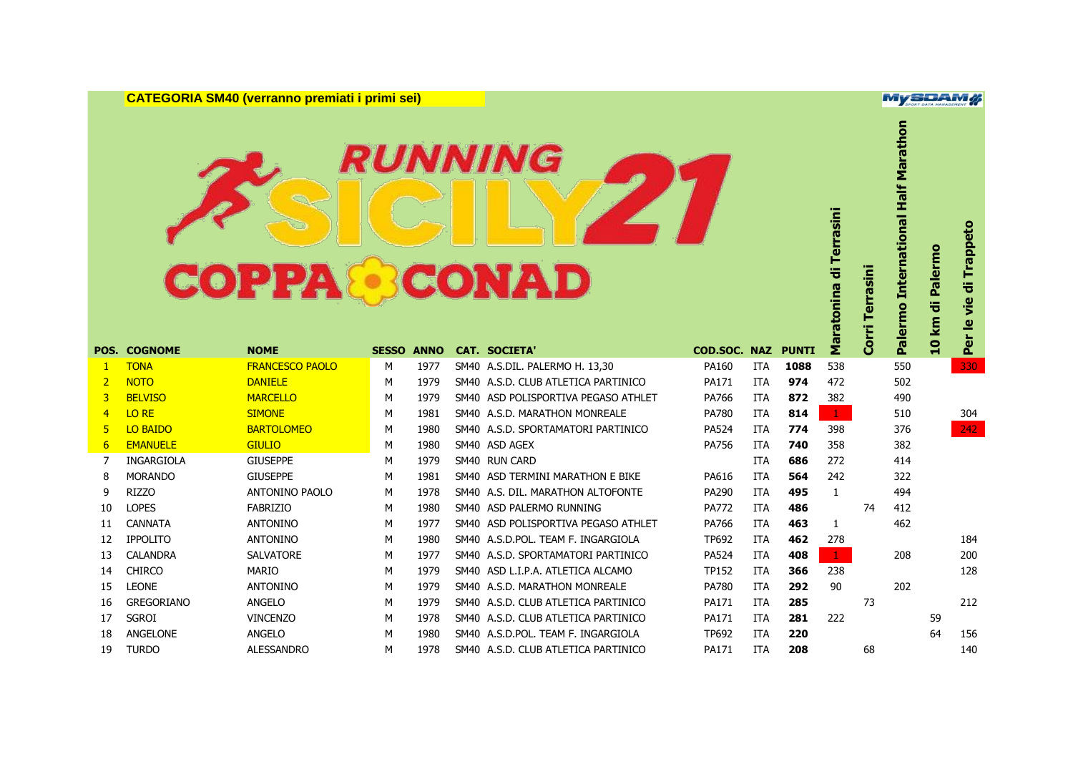**CATEGORIA SM40 (verranno premiati i primi sei)**

## **RUNNING COPPA CONAD**

|                |                     | <b>COPPA &amp; CONAD</b> |              |             | <i><b>RUNNING</b></i>               |              |            |              | Maratonina di Terrasini | Corri Terrasini | Palermo International Half Marathon | Palermo<br>10 km di | Trappeto<br>ë<br>$\frac{1}{2}$<br>Per le |
|----------------|---------------------|--------------------------|--------------|-------------|-------------------------------------|--------------|------------|--------------|-------------------------|-----------------|-------------------------------------|---------------------|------------------------------------------|
|                | <b>POS. COGNOME</b> | <b>NOME</b>              | <b>SESSO</b> | <b>ANNO</b> | <b>CAT. SOCIETA'</b>                | COD.SOC. NAZ |            | <b>PUNTI</b> |                         |                 |                                     |                     |                                          |
| 1              | <b>TONA</b>         | <b>FRANCESCO PAOLO</b>   | M            | 1977        | SM40 A.S.DIL. PALERMO H. 13,30      | PA160        | <b>ITA</b> | 1088         | 538                     |                 | 550                                 |                     | 330                                      |
| $\overline{2}$ | <b>NOTO</b>         | <b>DANIELE</b>           | M            | 1979        | SM40 A.S.D. CLUB ATLETICA PARTINICO | <b>PA171</b> | <b>ITA</b> | 974          | 472                     |                 | 502                                 |                     |                                          |
| 3              | <b>BELVISO</b>      | <b>MARCELLO</b>          | м            | 1979        | SM40 ASD POLISPORTIVA PEGASO ATHLET | PA766        | <b>ITA</b> | 872          | 382                     |                 | 490                                 |                     |                                          |
| $\overline{4}$ | LO RE               | <b>SIMONE</b>            | M            | 1981        | SM40 A.S.D. MARATHON MONREALE       | PA780        | <b>ITA</b> | 814          | $\mathbf{1}$            |                 | 510                                 |                     | 304                                      |
| 5              | <b>LO BAIDO</b>     | <b>BARTOLOMEO</b>        | M            | 1980        | SM40 A.S.D. SPORTAMATORI PARTINICO  | <b>PA524</b> | <b>ITA</b> | 774          | 398                     |                 | 376                                 |                     | 242                                      |
| 6              | <b>EMANUELE</b>     | <b>GIULIO</b>            | M            | 1980        | SM40 ASD AGEX                       | PA756        | <b>ITA</b> | 740          | 358                     |                 | 382                                 |                     |                                          |
| 7              | <b>INGARGIOLA</b>   | <b>GIUSEPPE</b>          | M            | 1979        | SM40 RUN CARD                       |              | <b>ITA</b> | 686          | 272                     |                 | 414                                 |                     |                                          |
| 8              | <b>MORANDO</b>      | <b>GIUSEPPE</b>          | M            | 1981        | SM40 ASD TERMINI MARATHON E BIKE    | PA616        | <b>ITA</b> | 564          | 242                     |                 | 322                                 |                     |                                          |
| 9              | <b>RIZZO</b>        | <b>ANTONINO PAOLO</b>    | M            | 1978        | SM40 A.S. DIL. MARATHON ALTOFONTE   | PA290        | <b>ITA</b> | 495          | $\mathbf{1}$            |                 | 494                                 |                     |                                          |
| 10             | <b>LOPES</b>        | <b>FABRIZIO</b>          | M            | 1980        | SM40 ASD PALERMO RUNNING            | <b>PA772</b> | ITA        | 486          |                         | 74              | 412                                 |                     |                                          |
| 11             | <b>CANNATA</b>      | <b>ANTONINO</b>          | м            | 1977        | SM40 ASD POLISPORTIVA PEGASO ATHLET | PA766        | <b>ITA</b> | 463          | 1                       |                 | 462                                 |                     |                                          |
| 12             | <b>IPPOLITO</b>     | <b>ANTONINO</b>          | M            | 1980        | SM40 A.S.D.POL. TEAM F. INGARGIOLA  | TP692        | <b>ITA</b> | 462          | 278                     |                 |                                     |                     | 184                                      |
| 13             | <b>CALANDRA</b>     | <b>SALVATORE</b>         | M            | 1977        | SM40 A.S.D. SPORTAMATORI PARTINICO  | <b>PA524</b> | ITA        | 408          | $\mathbf{1}$            |                 | 208                                 |                     | 200                                      |
| 14             | <b>CHIRCO</b>       | <b>MARIO</b>             | M            | 1979        | SM40 ASD L.I.P.A. ATLETICA ALCAMO   | <b>TP152</b> | ITA        | 366          | 238                     |                 |                                     |                     | 128                                      |
| 15             | <b>LEONE</b>        | <b>ANTONINO</b>          | M            | 1979        | SM40 A.S.D. MARATHON MONREALE       | <b>PA780</b> | <b>ITA</b> | 292          | 90                      |                 | 202                                 |                     |                                          |
| 16             | <b>GREGORIANO</b>   | <b>ANGELO</b>            | M            | 1979        | SM40 A.S.D. CLUB ATLETICA PARTINICO | <b>PA171</b> | <b>ITA</b> | 285          |                         | 73              |                                     |                     | 212                                      |
| 17             | <b>SGROI</b>        | <b>VINCENZO</b>          | M            | 1978        | SM40 A.S.D. CLUB ATLETICA PARTINICO | PA171        | <b>ITA</b> | 281          | 222                     |                 |                                     | 59                  |                                          |
| 18             | <b>ANGELONE</b>     | <b>ANGELO</b>            | M            | 1980        | SM40 A.S.D.POL. TEAM F. INGARGIOLA  | TP692        | <b>ITA</b> | 220          |                         |                 |                                     | 64                  | 156                                      |
| 19             | <b>TURDO</b>        | <b>ALESSANDRO</b>        | M            | 1978        | SM40 A.S.D. CLUB ATLETICA PARTINICO | PA171        | <b>ITA</b> | 208          |                         | 68              |                                     |                     | 140                                      |

**MySDAM#**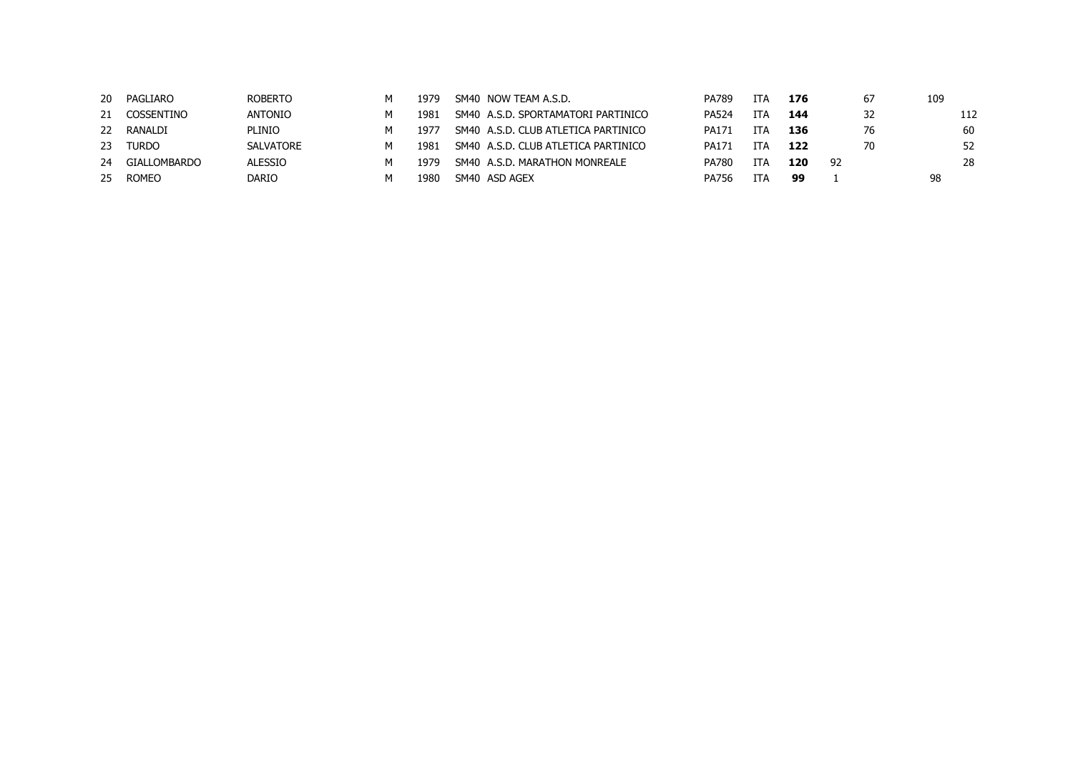| 20 | PAGLIARO     | <b>ROBERTO</b>   | м | 1979 | SM40 NOW TEAM A.S.D.                | PA789        | <b>TTA</b> | 176 |     | 67 | 109 |
|----|--------------|------------------|---|------|-------------------------------------|--------------|------------|-----|-----|----|-----|
| 21 | COSSENTINO   | <b>ANTONIO</b>   | м | 1981 | SM40 A.S.D. SPORTAMATORI PARTINICO  | <b>PA524</b> | TTA        | 144 |     | 32 | 112 |
| 22 | RANALDI      | <b>PLINIO</b>    | м | 1977 | SM40 A.S.D. CLUB ATLETICA PARTINICO | PA171        | <b>TTA</b> | 136 |     | 76 | 60  |
| 23 | Turdo        | <b>SALVATORE</b> | м | 1981 | SM40 A.S.D. CLUB ATLETICA PARTINICO | PA171        | ITA        | 122 |     | 70 | 52  |
| 24 | GIALLOMBARDO | <b>ALESSIO</b>   | м | 1979 | SM40 A.S.D. MARATHON MONREALE       | <b>PA780</b> | ITA        | 120 | -92 |    | 28  |
| 25 | <b>ROMEO</b> | DARIO            | м | 1980 | SM40 ASD AGEX                       | <b>PA756</b> | <b>ITA</b> | 99  |     |    | 98  |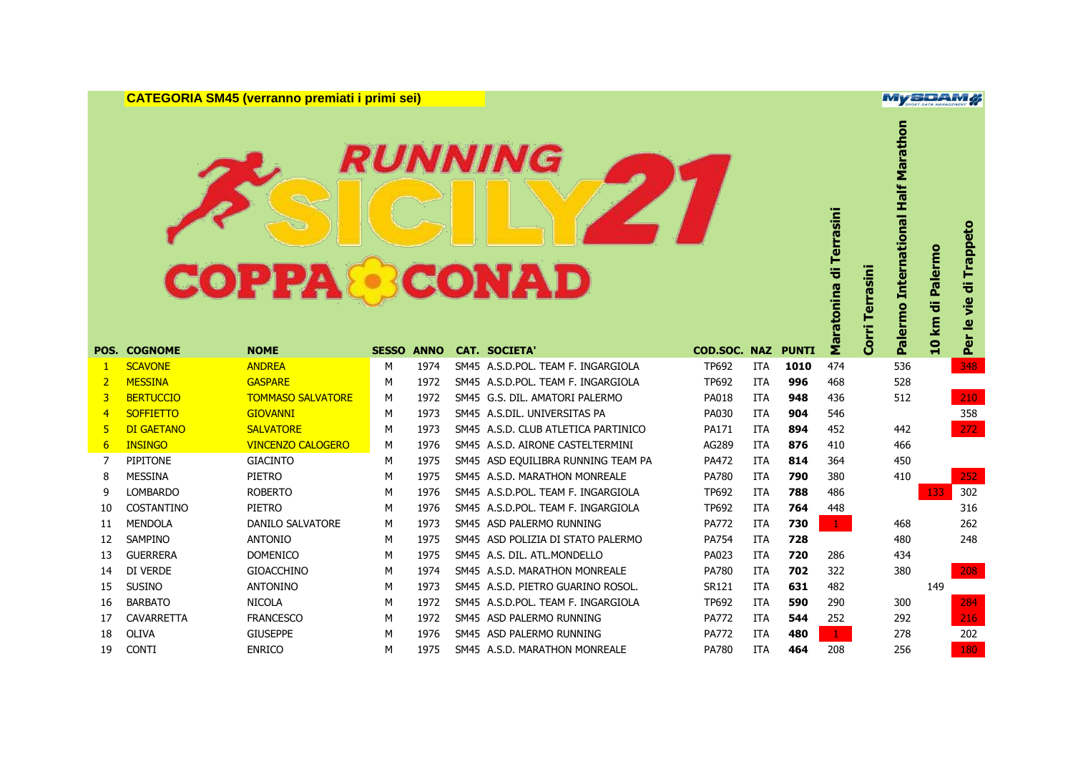**CATEGORIA SM45 (verranno premiati i primi sei)**

### **RUNNING COPPA CONAD**

**Palermo International Half Marathon** Maratonina di Terrasini **Maratonina di Terrasini** Per le vie di Trappeto **Per le vie di Trappeto 10 km di Palermo Corri Terrasini** Palermo  $km$ Corri  $\overline{q}$ **POS. COGNOME NOME SESSO ANNO CAT. SOCIETA' COD.SOC. NAZ PUNTI** SCAVONE ANDREA M 1974 SM45 A.S.D.POL. TEAM F. INGARGIOLA TP692 ITA **1010** 474 536 348 MESSINA GASPARE M 1972 SM45 A.S.D.POL. TEAM F. INGARGIOLA TP692 ITA **996** 468 528 BERTUCCIO TOMMASO SALVATORE M 1972 SM45 G.S. DIL. AMATORI PALERMO PA018 ITA **948** 436 512 210 SOFFIETTO GIOVANNI M 1973 SM45 A.S.DIL. UNIVERSITAS PA PA030 ITA **904** 546 358 DI GAETANO SALVATORE M 1973 SM45 A.S.D. CLUB ATLETICA PARTINICO PA171 ITA **894** 452 442 272 INSINGO VINCENZO CALOGERO M 1976 SM45 A.S.D. AIRONE CASTELTERMINI AG289 ITA **876** 410 466 PIPITONE GIACINTO M 1975 SM45 ASD EQUILIBRA RUNNING TEAM PA PA472 ITA **814** 364 450 MESSINA PIETRO M 1975 SM45 A.S.D. MARATHON MONREALE PA780 ITA **790** 380 410 252 LOMBARDO ROBERTO M 1976 SM45 A.S.D.POL. TEAM F. INGARGIOLA TP692 ITA **788** 486 133 302 COSTANTINO PIETRO M 1976 SM45 A.S.D.POL. TEAM F. INGARGIOLA TP692 ITA **764** 448 316 MENDOLA DANILO SALVATORE M 1973 SM45 ASD PALERMO RUNNING PA772 ITA **730** 1 468 262 SAMPINO ANTONIO M 1975 SM45 ASD POLIZIA DI STATO PALERMO PA754 ITA **728** 480 248 GUERRERA DOMENICO M 1975 SM45 A.S. DIL. ATL.MONDELLO PA023 ITA **720** 286 434 DI VERDE GIOACCHINO M 1974 SM45 A.S.D. MARATHON MONREALE PA780 ITA **702** 322 380 208 SUSINO ANTONINO M 1973 SM45 A.S.D. PIETRO GUARINO ROSOL. SR121 ITA **631** 482 149 BARBATO NICOLA M 1972 SM45 A.S.D.POL. TEAM F. INGARGIOLA TP692 ITA **590** 290 300 284 CAVARRETTA FRANCESCO M 1972 SM45 ASD PALERMO RUNNING PA772 ITA **544** 252 292 216 OLIVA GIUSEPPE M 1976 SM45 ASD PALERMO RUNNING PA772 ITA **480** 1 278 202 CONTI ENRICO M 1975 SM45 A.S.D. MARATHON MONREALE PA780 ITA **464** 208 256 180

**MySDAM#** 

Marathon

Half

**International** 

Terrasini

di Palermo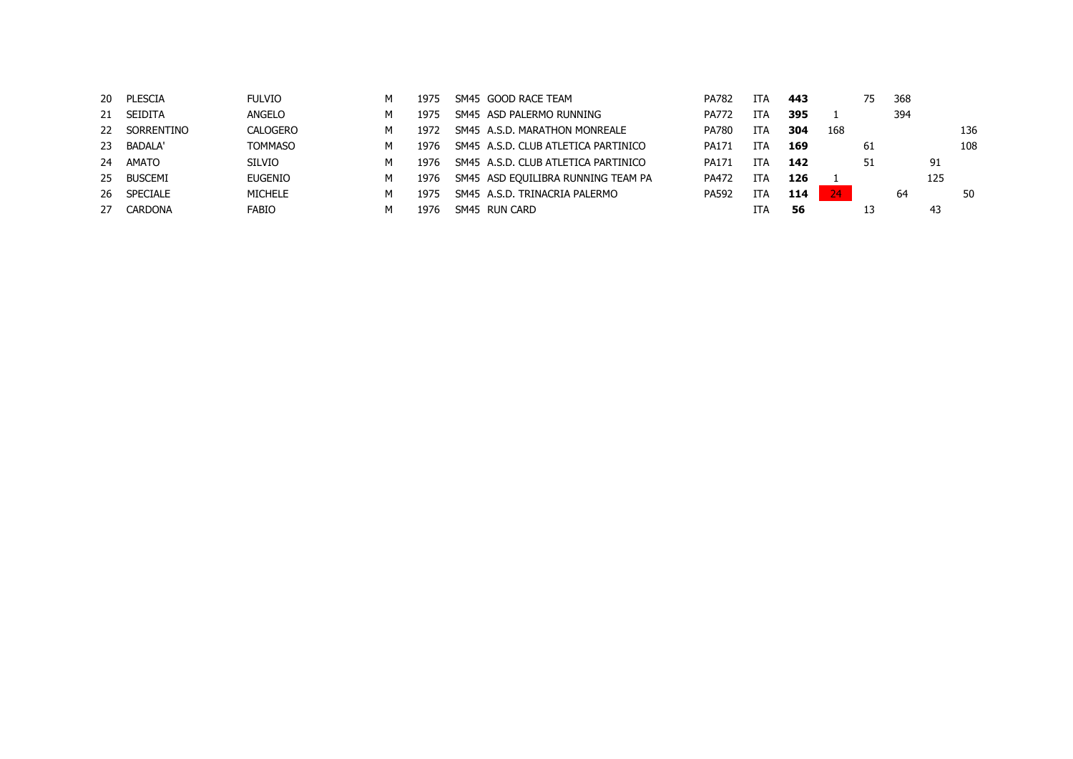|    | 20 PLESCIA      | <b>FULVIO</b>  | м | 1975 | SM45 GOOD RACE TEAM                 | PA782        | <b>ITA</b> | 443 |     | 75 | 368 |     |     |
|----|-----------------|----------------|---|------|-------------------------------------|--------------|------------|-----|-----|----|-----|-----|-----|
|    | 21 SEIDITA      | ANGELO         | м | 1975 | SM45 ASD PALERMO RUNNING            | <b>PA772</b> | <b>ITA</b> | 395 |     |    | 394 |     |     |
| 22 | SORRENTINO      | CALOGERO       | м | 1972 | SM45 A.S.D. MARATHON MONREALE       | <b>PA780</b> | <b>ITA</b> | 304 | 168 |    |     |     | 136 |
|    | 23 BADALA'      | <b>TOMMASO</b> | м | 1976 | SM45 A.S.D. CLUB ATLETICA PARTINICO | PA171        | ITA        | 169 |     | 61 |     |     | 108 |
| 24 | AMATO           | <b>SILVIO</b>  | м | 1976 | SM45 A.S.D. CLUB ATLETICA PARTINICO | PA171        | ITA        | 142 |     | 51 |     | 91  |     |
|    | 25 BUSCEMI      | <b>EUGENIO</b> | м | 1976 | SM45 ASD EQUILIBRA RUNNING TEAM PA  | PA472        | <b>ITA</b> | 126 |     |    |     | 125 |     |
| 26 | <b>SPECIALE</b> | <b>MICHELE</b> | м | 1975 | SM45 A.S.D. TRINACRIA PALERMO       | <b>PA592</b> | <b>ITA</b> | 114 | 24  |    | 64  |     | 50  |
| 27 | CARDONA         | <b>FABIO</b>   | м | 1976 | SM45 RUN CARD                       |              | ITA        | 56  |     |    |     | 43  |     |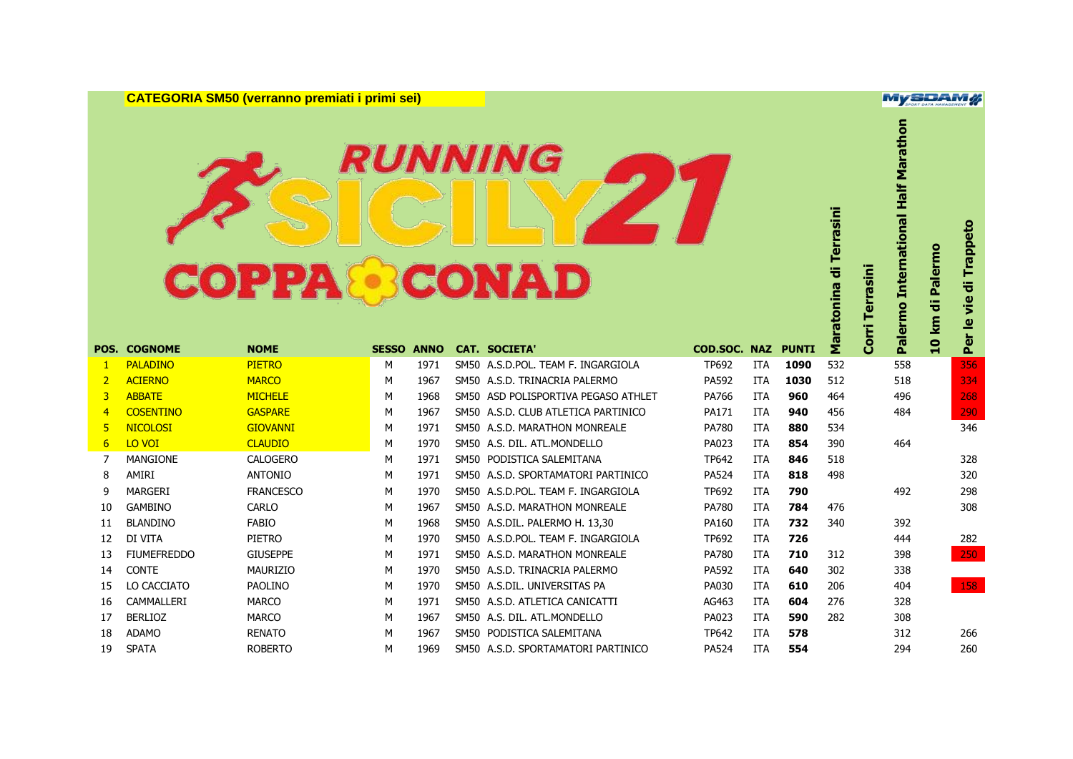**CATEGORIA SM50 (verranno premiati i primi sei)**

### **RUNNING COPPA CONAD**

**Palermo International Half Marathon** Maratonina di Terrasini **Maratonina di Terrasini** Palermo International **Per le vie di Trappeto 10 km di Palermo Corri Terrasini** Per le vie di **10 km Corri POS. COGNOME NOME SESSO ANNO CAT. SOCIETA' COD.SOC. NAZ PUNTI** PALADINO PIETRO M 1971 SM50 A.S.D.POL. TEAM F. INGARGIOLA TP692 ITA **1090** 532 558 356 ACIERNO MARCO M 1967 SM50 A.S.D. TRINACRIA PALERMO PA592 ITA **1030** 512 518 334 ABBATE MICHELE M 1968 SM50 ASD POLISPORTIVA PEGASO ATHLET PA766 ITA **960** 464 496 268 COSENTINO GASPARE M 1967 SM50 A.S.D. CLUB ATLETICA PARTINICO PA171 ITA **940** 456 484 290 NICOLOSI GIOVANNI M 1971 SM50 A.S.D. MARATHON MONREALE PA780 ITA **880** 534 346 LO VOI CLAUDIO M 1970 SM50 A.S. DIL. ATL.MONDELLO PA023 ITA **854** 390 464 MANGIONE CALOGERO M 1971 SM50 PODISTICA SALEMITANA TP642 ITA **846** 518 328 AMIRI ANTONIO M 1971 SM50 A.S.D. SPORTAMATORI PARTINICO PA524 ITA **818** 498 320 MARGERI FRANCESCO M 1970 SM50 A.S.D.POL. TEAM F. INGARGIOLA TP692 ITA **790** 492 298 GAMBINO CARLO M 1967 SM50 A.S.D. MARATHON MONREALE PA780 ITA **784** 476 308 BLANDINO FABIO M 1968 SM50 A.S.DIL. PALERMO H. 13,30 PA160 ITA **732** 340 392 DI VITA PIETRO M 1970 SM50 A.S.D.POL. TEAM F. INGARGIOLA TP692 ITA **726** 444 282 FIUMEFREDDO GIUSEPPE M 1971 SM50 A.S.D. MARATHON MONREALE PA780 ITA **710** 312 398 250 CONTE MAURIZIO M 1970 SM50 A.S.D. TRINACRIA PALERMO PA592 ITA **640** 302 338 LO CACCIATO PAOLINO M 1970 SM50 A.S.DIL. UNIVERSITAS PA PA030 ITA **610** 206 404 158 CAMMALLERI MARCO M 1971 SM50 A.S.D. ATLETICA CANICATTI AG463 ITA **604** 276 328 BERLIOZ MARCO M 1967 SM50 A.S. DIL. ATL.MONDELLO PA023 ITA **590** 282 308 ADAMO RENATO M 1967 SM50 PODISTICA SALEMITANA TP642 ITA **578** 312 266 SPATA ROBERTO M 1969 SM50 A.S.D. SPORTAMATORI PARTINICO PA524 ITA **554** 294 260

**MySDAM#** 

di Palermo

Trappeto

Marathon

Half I

Terrasini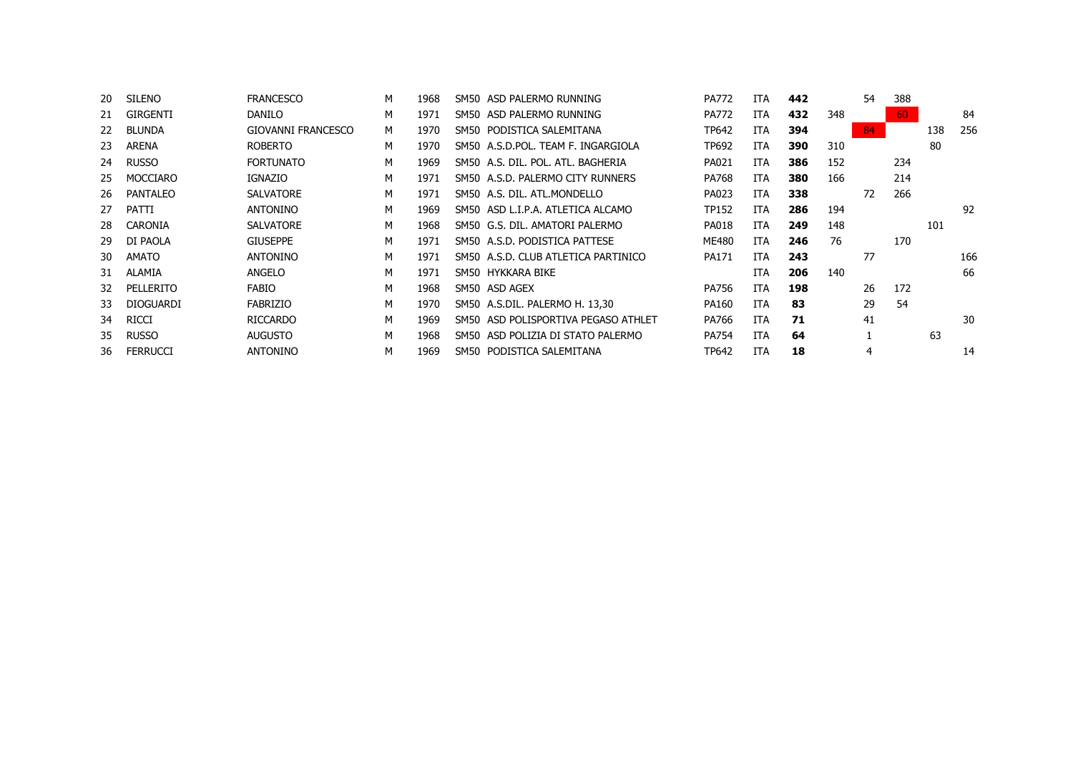| 20 | <b>SILENO</b>    | <b>FRANCESCO</b>   | М | 1968 | SM50 ASD PALERMO RUNNING             | <b>PA772</b> | ITA        | 442 |     | 54 | 388 |     |     |
|----|------------------|--------------------|---|------|--------------------------------------|--------------|------------|-----|-----|----|-----|-----|-----|
| 21 | <b>GIRGENTI</b>  | <b>DANILO</b>      | М | 1971 | SM50 ASD PALERMO RUNNING             | <b>PA772</b> | <b>ITA</b> | 432 | 348 |    | 60  |     | 84  |
| 22 | <b>BLUNDA</b>    | GIOVANNI FRANCESCO | м | 1970 | PODISTICA SALEMITANA<br>SM50         | TP642        | <b>ITA</b> | 394 |     | 84 |     | 138 | 256 |
| 23 | <b>ARENA</b>     | <b>ROBERTO</b>     | М | 1970 | SM50 A.S.D.POL. TEAM F. INGARGIOLA   | <b>TP692</b> | <b>ITA</b> | 390 | 310 |    |     | 80  |     |
| 24 | <b>RUSSO</b>     | <b>FORTUNATO</b>   | М | 1969 | SM50 A.S. DIL. POL. ATL. BAGHERIA    | PA021        | <b>ITA</b> | 386 | 152 |    | 234 |     |     |
| 25 | <b>MOCCIARO</b>  | <b>IGNAZIO</b>     | М | 1971 | SM50 A.S.D. PALERMO CITY RUNNERS     | PA768        | <b>ITA</b> | 380 | 166 |    | 214 |     |     |
| 26 | <b>PANTALEO</b>  | <b>SALVATORE</b>   | М | 1971 | SM50 A.S. DIL. ATL.MONDELLO          | PA023        | <b>ITA</b> | 338 |     | 72 | 266 |     |     |
| 27 | <b>PATTI</b>     | <b>ANTONINO</b>    | М | 1969 | SM50 ASD L.I.P.A. ATLETICA ALCAMO    | <b>TP152</b> | <b>ITA</b> | 286 | 194 |    |     |     | 92  |
| 28 | CARONIA          | <b>SALVATORE</b>   | М | 1968 | SM50 G.S. DIL. AMATORI PALERMO       | <b>PA018</b> | ITA        | 249 | 148 |    |     | 101 |     |
| 29 | DI PAOLA         | <b>GIUSEPPE</b>    | М | 1971 | SM50 A.S.D. PODISTICA PATTESE        | ME480        | <b>ITA</b> | 246 | 76  |    | 170 |     |     |
| 30 | <b>AMATO</b>     | <b>ANTONINO</b>    | М | 1971 | SM50 A.S.D. CLUB ATLETICA PARTINICO  | PA171        | ITA        | 243 |     | 77 |     |     | 166 |
| 31 | ALAMIA           | <b>ANGELO</b>      | М | 1971 | SM50 HYKKARA BIKE                    |              | ITA        | 206 | 140 |    |     |     | 66  |
| 32 | PELLERITO        | FABIO              | М | 1968 | SM50 ASD AGEX                        | <b>PA756</b> | <b>ITA</b> | 198 |     | 26 | 172 |     |     |
| 33 | <b>DIOGUARDI</b> | <b>FABRIZIO</b>    | М | 1970 | SM50 A.S.DIL. PALERMO H. 13,30       | PA160        | <b>ITA</b> | 83  |     | 29 | 54  |     |     |
| 34 | <b>RICCI</b>     | <b>RICCARDO</b>    | М | 1969 | SM50 ASD POLISPORTIVA PEGASO ATHLET  | PA766        | <b>ITA</b> | 71  |     | 41 |     |     | 30  |
| 35 | <b>RUSSO</b>     | <b>AUGUSTO</b>     | М | 1968 | ASD POLIZIA DI STATO PALERMO<br>SM50 | PA754        | <b>ITA</b> | 64  |     |    |     | 63  |     |
| 36 | <b>FERRUCCI</b>  | <b>ANTONINO</b>    | М | 1969 | SM50 PODISTICA SALEMITANA            | <b>TP642</b> | <b>ITA</b> | 18  |     | 4  |     |     | 14  |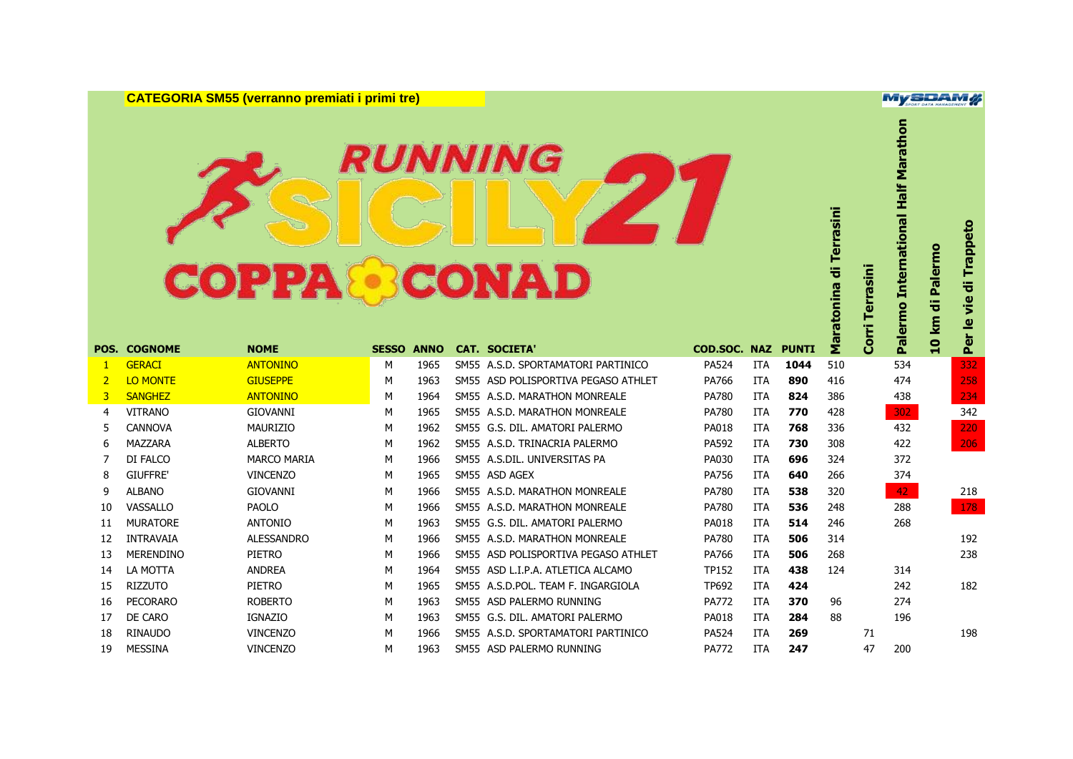**CATEGORIA SM55 (verranno premiati i primi tre)**

### **RUNNING COPPA CONAD**

**Palermo International Half Marathon** Maratonina di Terrasini **Maratonina di Terrasini** Palermo International **Per le vie di Trappeto 10 km di Palermo Corri Terrasini** Per le vie **10 km Corri POS. COGNOME NOME SESSO ANNO CAT. SOCIETA' COD.SOC. NAZ PUNTI** GERACI ANTONINO M 1965 SM55 A.S.D. SPORTAMATORI PARTINICO PA524 ITA **1044** 510 534 332 LO MONTE GIUSEPPE M 1963 SM55 ASD POLISPORTIVA PEGASO ATHLET PA766 ITA **890** 416 474 258 SANGHEZ ANTONINO M 1964 SM55 A.S.D. MARATHON MONREALE PA780 ITA **824** 386 438 234 VITRANO GIOVANNI M 1965 SM55 A.S.D. MARATHON MONREALE PA780 ITA **770** 428 302 342 CANNOVA MAURIZIO M 1962 SM55 G.S. DIL. AMATORI PALERMO PA018 ITA **768** 336 432 220 MAZZARA ALBERTO M 1962 SM55 A.S.D. TRINACRIA PALERMO PA592 ITA **730** 308 422 206 DI FALCO MARCO MARIA M 1966 SM55 A.S.DIL. UNIVERSITAS PA PA030 ITA **696** 324 372 GIUFFRE' VINCENZO M 1965 SM55 ASD AGEX PA756 ITA **640** 266 374 ALBANO GIOVANNI M 1966 SM55 A.S.D. MARATHON MONREALE PA780 ITA **538** 320 42 218 VASSALLO PAOLO M 1966 SM55 A.S.D. MARATHON MONREALE PA780 ITA **536** 248 288 178 MURATORE ANTONIO M 1963 SM55 G.S. DIL. AMATORI PALERMO PA018 ITA **514** 246 268 INTRAVAIA ALESSANDRO M 1966 SM55 A.S.D. MARATHON MONREALE PA780 ITA **506** 314 192 MERENDINO PIETRO M 1966 SM55 ASD POLISPORTIVA PEGASO ATHLET PA766 ITA **506** 268 238 LA MOTTA ANDREA M 1964 SM55 ASD L.I.P.A. ATLETICA ALCAMO TP152 ITA **438** 124 314 RIZZUTO PIETRO M 1965 SM55 A.S.D.POL. TEAM F. INGARGIOLA TP692 ITA **424** 242 182 PECORARO ROBERTO M 1963 SM55 ASD PALERMO RUNNING PA772 ITA **370** 96 274 DE CARO IGNAZIO M 1963 SM55 G.S. DIL. AMATORI PALERMO PA018 ITA **284** 88 196 RINAUDO VINCENZO M 1966 SM55 A.S.D. SPORTAMATORI PARTINICO PA524 ITA **269** 71 198 MESSINA VINCENZO M 1963 SM55 ASD PALERMO RUNNING PA772 ITA **247** 47 200

**MySDAM#** 

di Palermo

Trappeto

÷

Marathon

Half I

Terrasini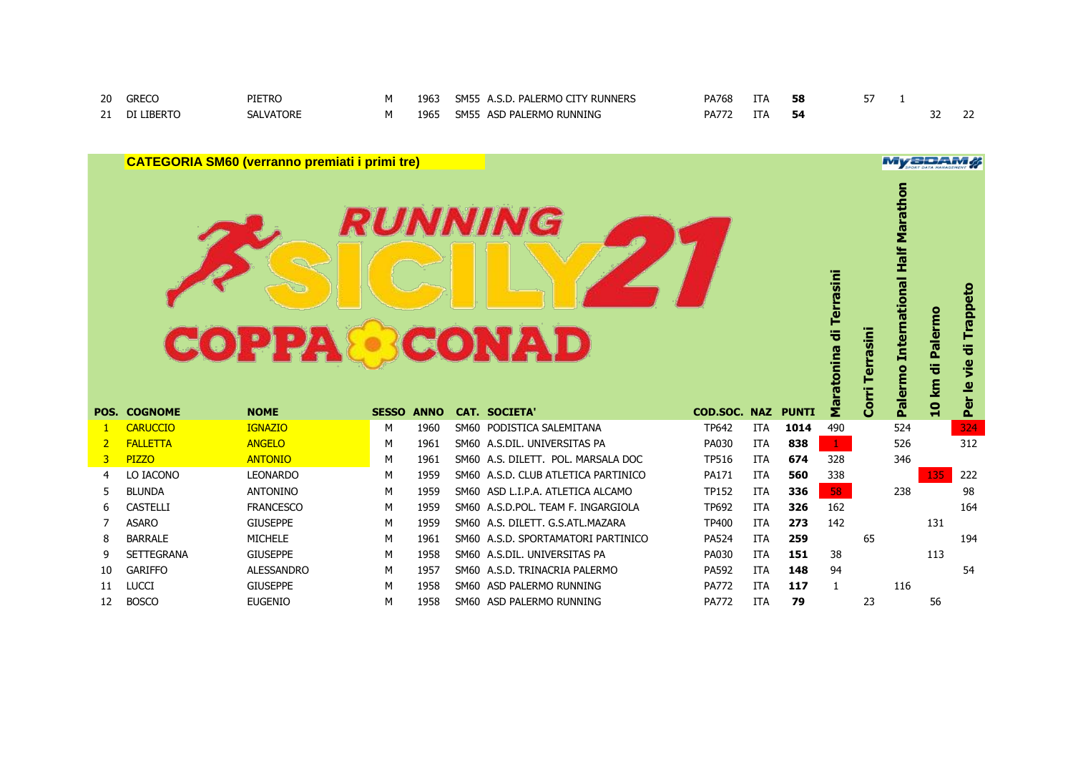| 20        | PIE <sup>-</sup><br>TRC |  | ∼м⊾<br>FRMC                                 | v oc | ÷ΙP   | 58. |  |  |
|-----------|-------------------------|--|---------------------------------------------|------|-------|-----|--|--|
| - -<br>2. |                         |  | <b>SM5</b><br>ι ΡΔΙ<br>$\ddot{\phantom{1}}$ | DΛ   | . $P$ |     |  |  |

| <b>CATEGORIA SM60 (verranno premiati i primi tre)</b> |                     |                   |              |             |  |                                     |                              |                          |      |                         |                  | MySDAM                                        |                            |                           |
|-------------------------------------------------------|---------------------|-------------------|--------------|-------------|--|-------------------------------------|------------------------------|--------------------------|------|-------------------------|------------------|-----------------------------------------------|----------------------------|---------------------------|
|                                                       |                     | <b>COPPA&amp;</b> |              |             |  | RUNNING<br><b>RCONAD</b>            |                              |                          |      | Maratonina di Terrasini | rrasini<br>Corri | <b>International Half Marathon</b><br>Palermo | di Palermo<br><b>10 km</b> | di Trappeto<br>Per le vie |
|                                                       | <b>POS. COGNOME</b> | <b>NOME</b>       | <b>SESSO</b> | <b>ANNO</b> |  | <b>CAT. SOCIETA'</b>                | <b>COD.SOC. NAZ PUNTI</b>    |                          |      |                         |                  |                                               |                            |                           |
| -1                                                    | <b>CARUCCIO</b>     | <b>IGNAZIO</b>    | М            | 1960        |  | SM60 PODISTICA SALEMITANA           | <b>TP642</b>                 | <b>ITA</b>               | 1014 | 490                     |                  | 524                                           |                            | 324                       |
| $\overline{2}$                                        | <b>FALLETTA</b>     | <b>ANGELO</b>     | м            | 1961        |  | SM60 A.S.DIL. UNIVERSITAS PA        | PA030                        | <b>ITA</b>               | 838  | $\mathbf{1}$            |                  | 526                                           |                            | 312                       |
| 3                                                     | <b>PIZZO</b>        | <b>ANTONIO</b>    | М            | 1961        |  | SM60 A.S. DILETT. POL. MARSALA DOC  | <b>TP516</b>                 | <b>ITA</b>               | 674  | 328                     |                  | 346                                           |                            |                           |
| 4                                                     | LO IACONO           | <b>LEONARDO</b>   | М            | 1959        |  | SM60 A.S.D. CLUB ATLETICA PARTINICO | PA171                        | <b>ITA</b>               | 560  | 338                     |                  |                                               | 135                        | 222                       |
| 5                                                     | <b>BLUNDA</b>       | <b>ANTONINO</b>   | M            | 1959        |  | SM60 ASD L.I.P.A. ATLETICA ALCAMO   | TP152                        | <b>ITA</b>               | 336  | 58                      |                  | 238                                           |                            | 98                        |
| 6                                                     | <b>CASTELLI</b>     | <b>FRANCESCO</b>  | М            | 1959        |  | SM60 A.S.D.POL. TEAM F. INGARGIOLA  | TP692                        | <b>ITA</b>               | 326  | 162                     |                  |                                               |                            | 164                       |
| 7                                                     | <b>ASARO</b>        | <b>GIUSEPPE</b>   | м            | 1959        |  | SM60 A.S. DILETT. G.S.ATL.MAZARA    | <b>TP400</b>                 | <b>ITA</b>               | 273  | 142                     |                  |                                               | 131                        |                           |
| 8                                                     | <b>BARRALE</b>      | <b>MICHELE</b>    | М            | 1961        |  | SM60 A.S.D. SPORTAMATORI PARTINICO  | <b>PA524</b>                 | <b>ITA</b>               | 259  |                         | 65               |                                               |                            | 194                       |
| 9                                                     | <b>SETTEGRANA</b>   | <b>GIUSEPPE</b>   | М            | 1958        |  | SM60 A.S.DIL. UNIVERSITAS PA        | PA030                        | <b>ITA</b>               | 151  | 38                      |                  |                                               | 113                        |                           |
| 10                                                    | <b>GARIFFO</b>      | <b>ALESSANDRO</b> | М            | 1957        |  | SM60 A.S.D. TRINACRIA PALERMO       | PA592                        | <b>ITA</b>               | 148  | 94                      |                  |                                               |                            |                           |
|                                                       |                     |                   |              |             |  |                                     |                              |                          |      |                         |                  |                                               |                            | 54                        |
| 11                                                    | <b>LUCCI</b>        | <b>GIUSEPPE</b>   | М            | 1958        |  | SM60 ASD PALERMO RUNNING            | <b>PA772</b><br><b>PA772</b> | <b>ITA</b><br><b>ITA</b> | 117  | $\mathbf{1}$            | 23               | 116                                           |                            |                           |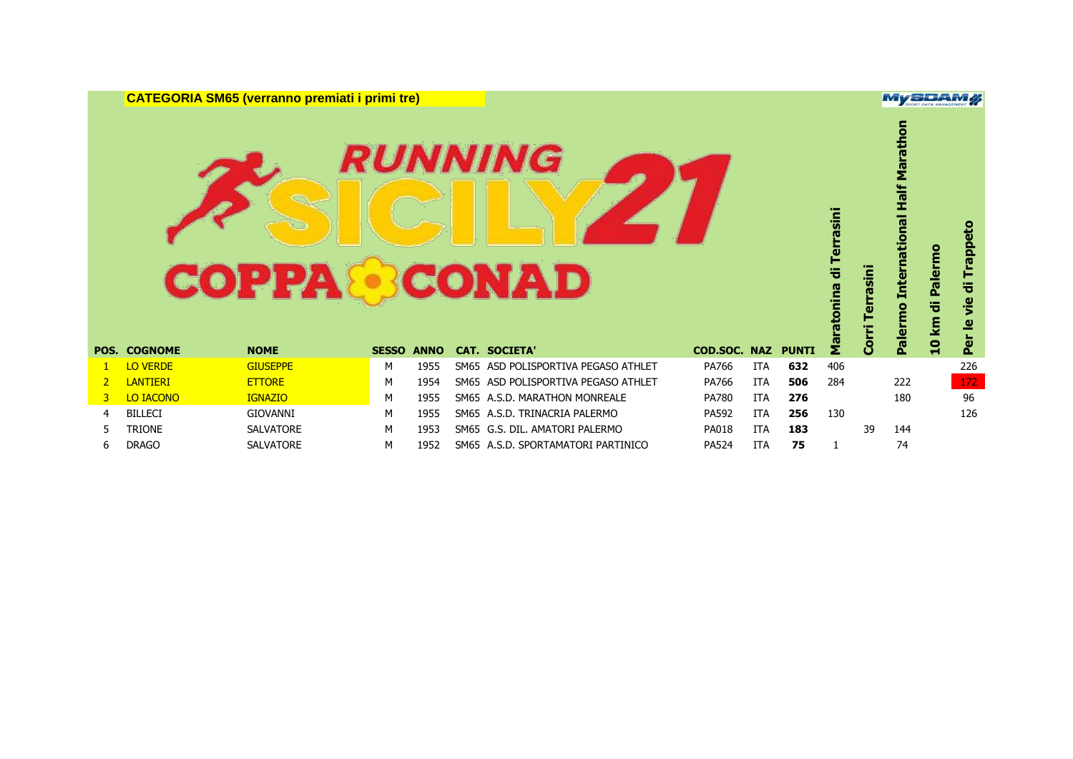**CATEGORIA SM65 (verranno premiati i primi tre)**

## **RUNNING COPPA CONAD**

|    | <b>POS. COGNOME</b> | <b>COPPA</b><br><b>NOME</b> | <b>SESSO</b> | <b>ANNO</b> |      | <i><b>RUNNING</b></i><br><b>BCONAD</b><br><b>CAT. SOCIETA'</b> | COD.SOC. NAZ |            | <b>PUNTI</b> | Terrasini<br>튱<br>tonina<br>ទឹ | rasini<br><b>Corri</b> | Marath<br>national Half<br>Inter<br>Palermo | Palermo<br>10 km di | Trappeto<br>등<br><u>je</u><br>₾<br>Per |
|----|---------------------|-----------------------------|--------------|-------------|------|----------------------------------------------------------------|--------------|------------|--------------|--------------------------------|------------------------|---------------------------------------------|---------------------|----------------------------------------|
|    |                     |                             |              |             |      |                                                                |              |            |              |                                |                        |                                             |                     |                                        |
|    | <b>LO VERDE</b>     | <b>GIUSEPPE</b>             | м            | 1955        | SM65 | ASD POLISPORTIVA PEGASO ATHLET                                 | PA766        | <b>ITA</b> | 632          |                                |                        |                                             |                     |                                        |
|    |                     |                             |              |             |      |                                                                |              |            |              | 406                            |                        |                                             |                     | 226                                    |
|    | <b>LANTIERI</b>     | <b>ETTORE</b>               | м            | 1954        |      | SM65 ASD POLISPORTIVA PEGASO ATHLET                            | PA766        | <b>ITA</b> | 506          | 284                            |                        | 222                                         |                     | 172                                    |
| 3. | LO IACONO           | <b>IGNAZIO</b>              | м            | 1955        |      | SM65 A.S.D. MARATHON MONREALE                                  | <b>PA780</b> | <b>ITA</b> | 276          |                                |                        | 180                                         |                     | 96                                     |
| 4  | <b>BILLECI</b>      | GIOVANNI                    | м            | 1955        |      | SM65 A.S.D. TRINACRIA PALERMO                                  | PA592        | <b>ITA</b> | 256          | 130                            |                        |                                             |                     | 126                                    |
| 5  | <b>TRIONE</b>       | <b>SALVATORE</b>            | М            | 1953        |      | SM65 G.S. DIL. AMATORI PALERMO                                 | <b>PA018</b> | <b>ITA</b> | 183          |                                | 39                     | 144                                         |                     |                                        |

#### **MySDAM#**